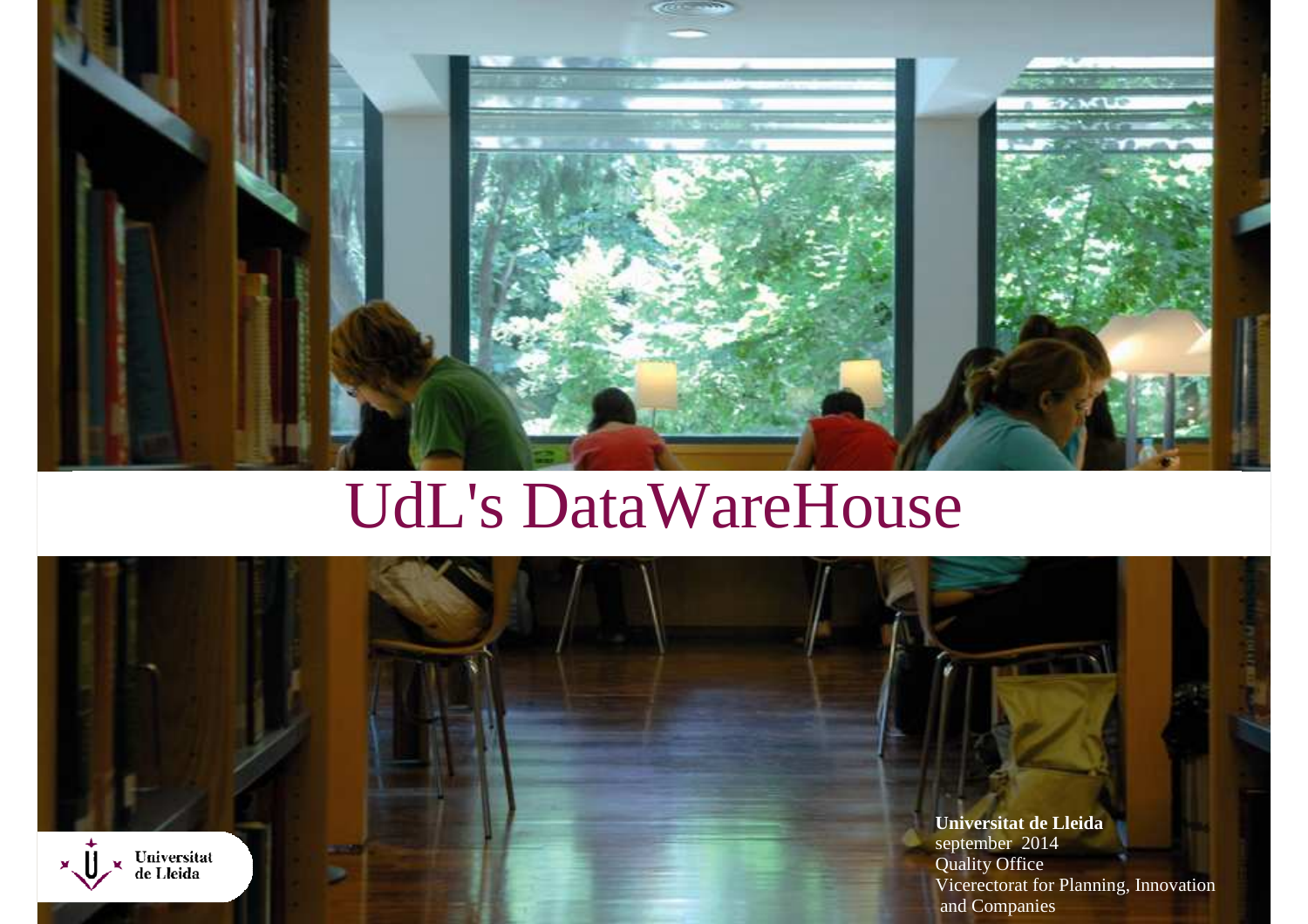

# UdL's DataWareHouse

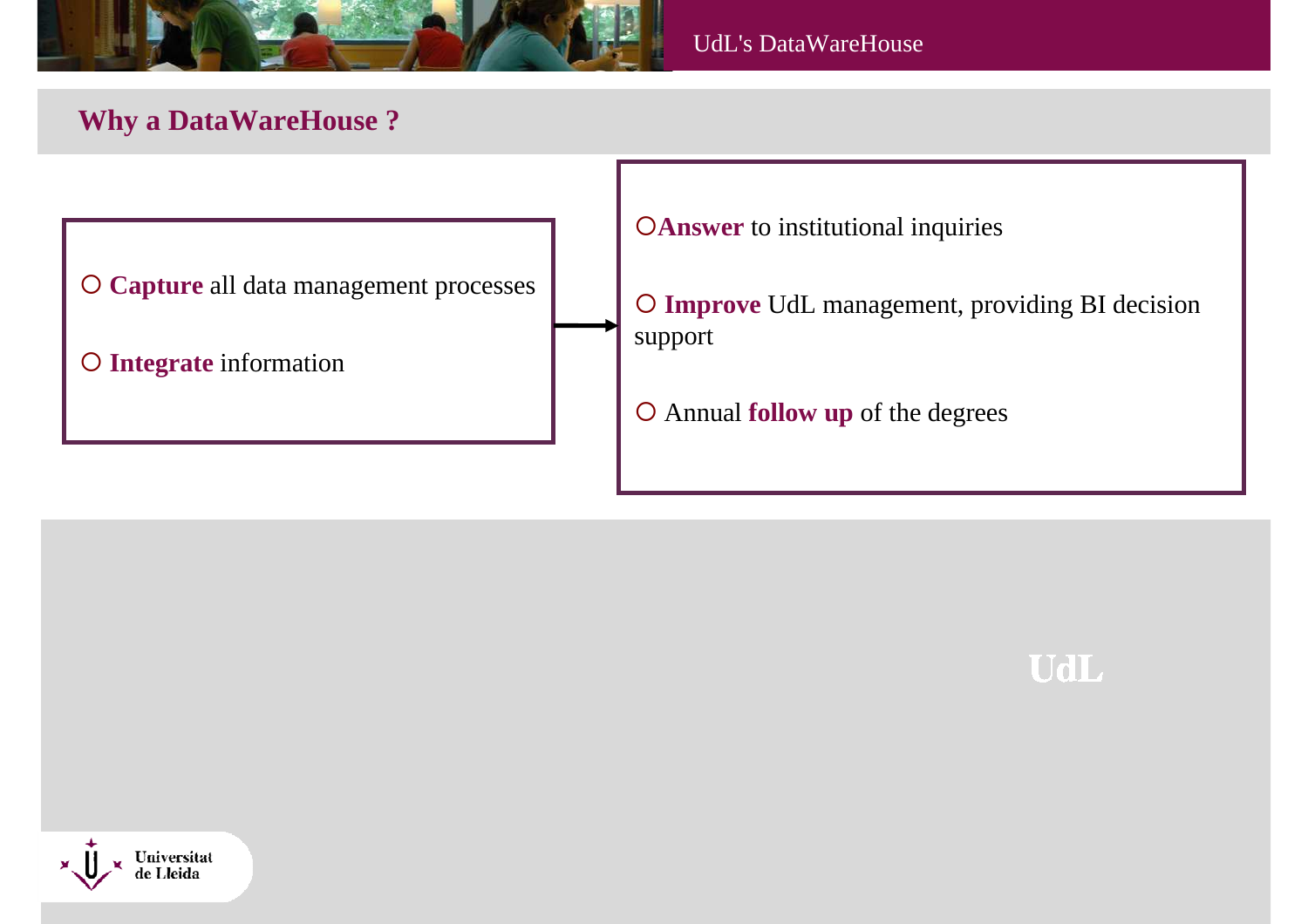

# **Why a DataWareHouse ?**





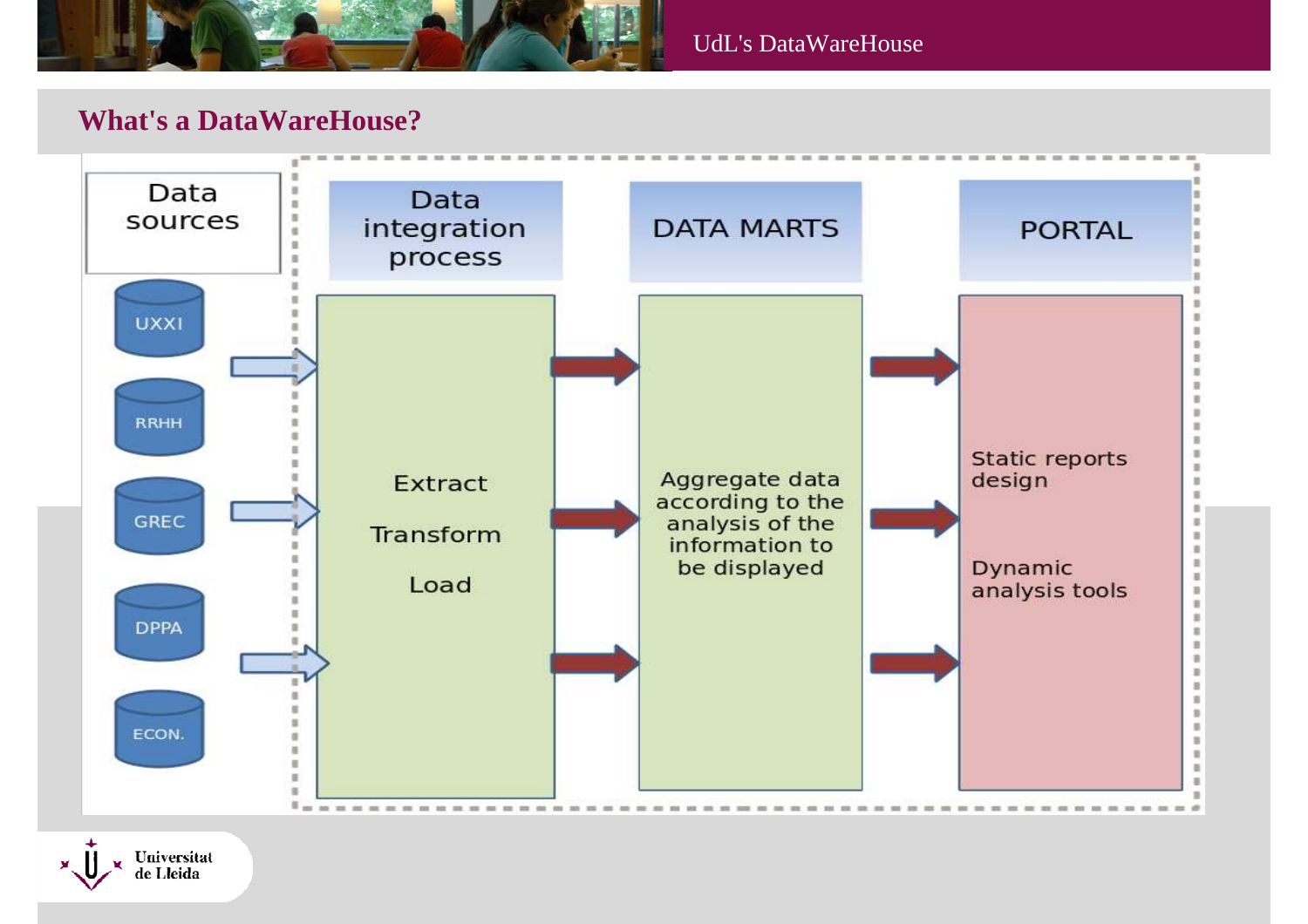

# **What's a DataWareHouse?**



Universitat de Lleida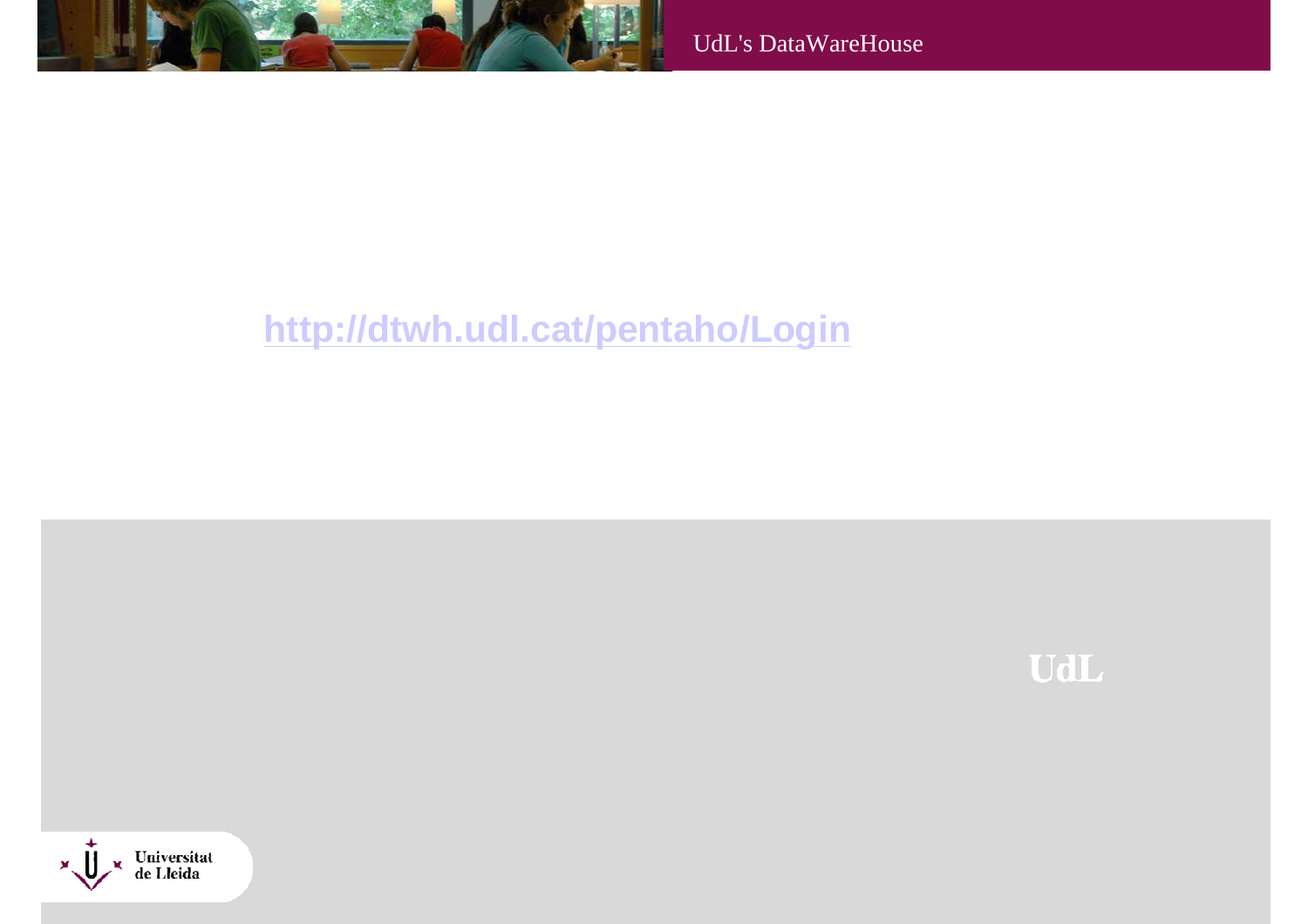

# **http://dtwh.udl.cat/pentaho/Login**

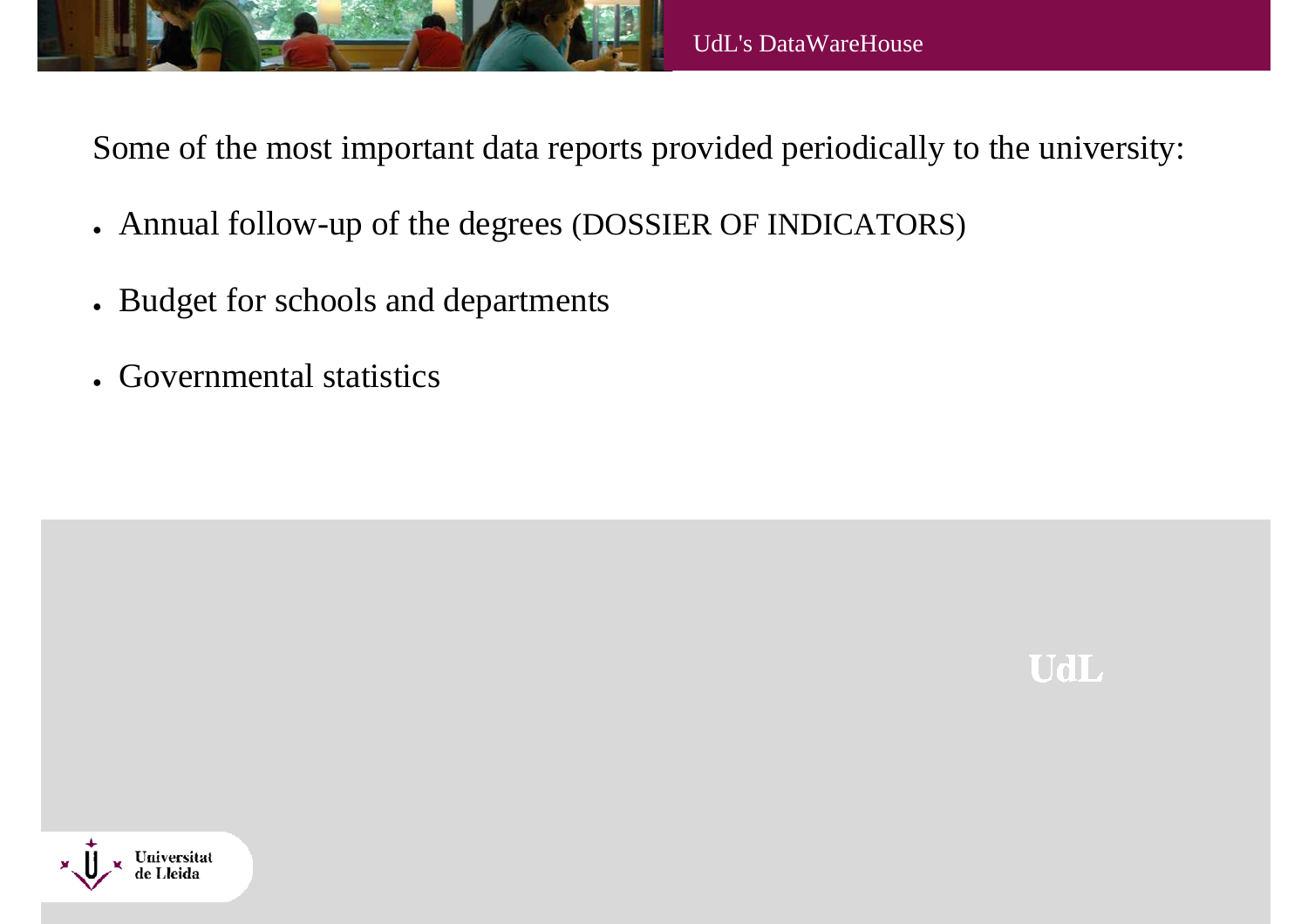

Some of the most important data reports provided periodically to the university:

- Annual follow-up of the degrees (DOSSIER OF INDICATORS)
- Budget for schools and departments
- Governmental statistics



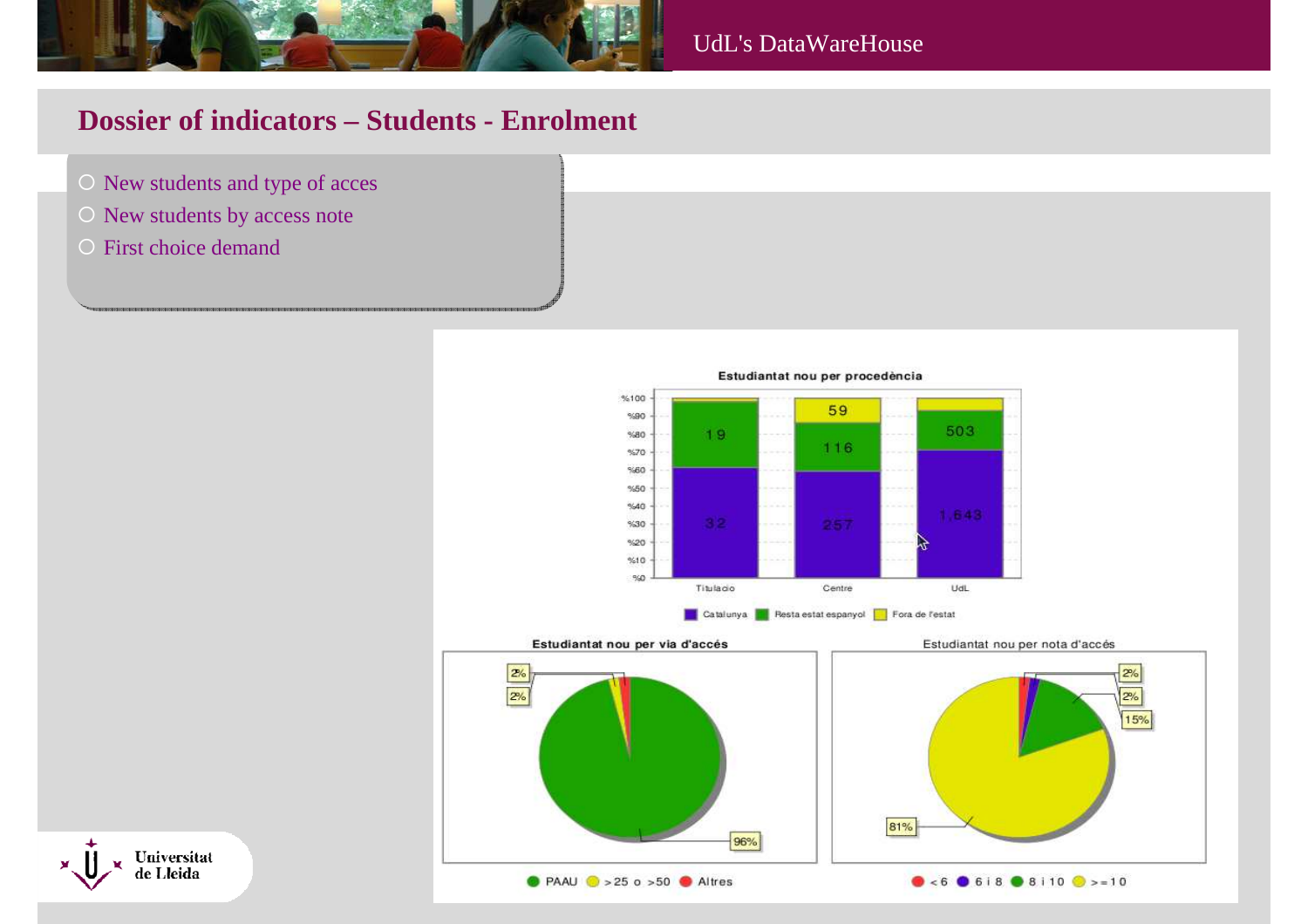

## **Dossier of indicators – Students - Enrolment**

- New students and type of acces
- New students by access note
- O First choice demand



Estudiantat nou per via d'accés







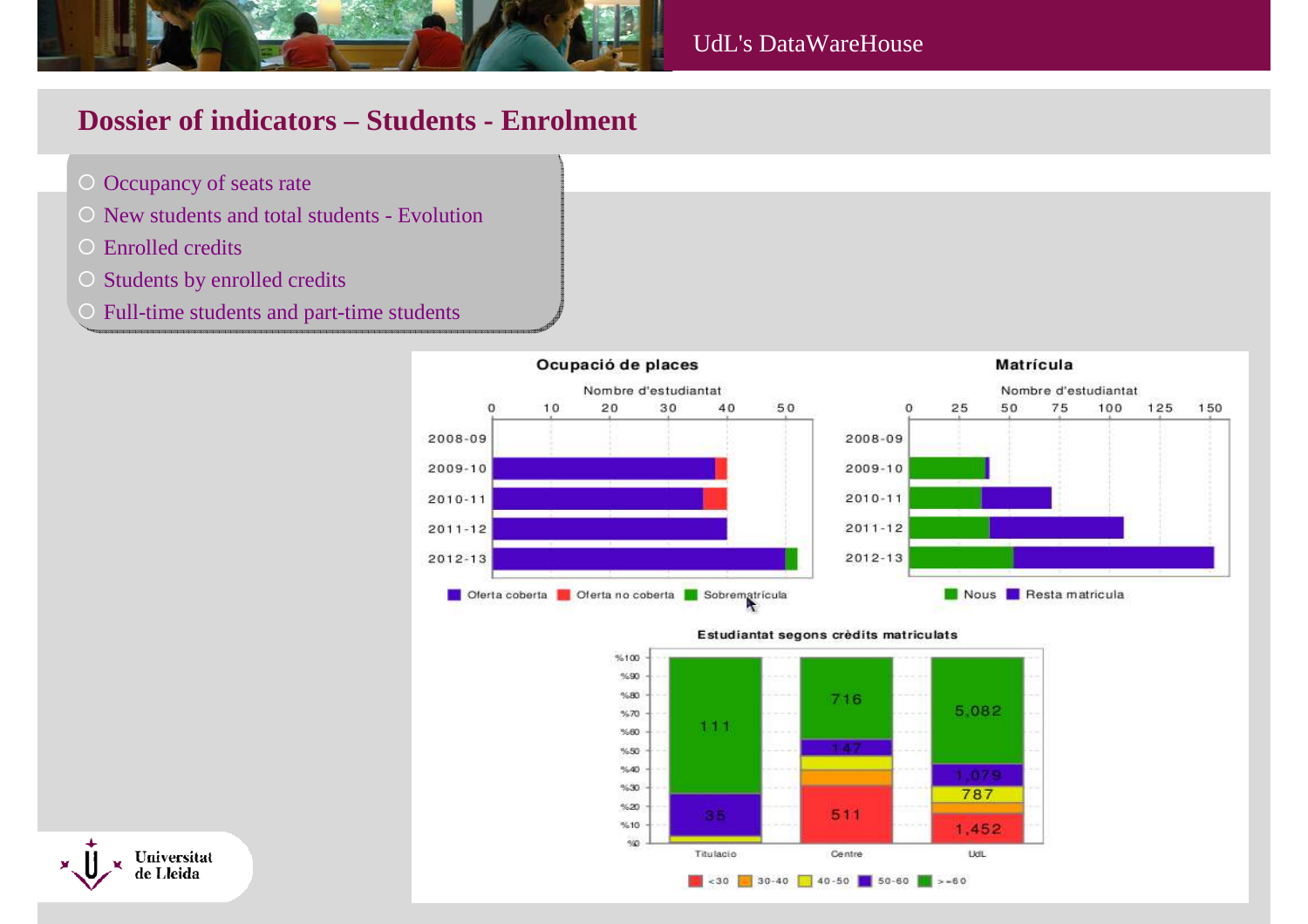

## **Dossier of indicators – Students - Enrolment**

- Occupancy of seats rate
- $\circ$  New students and total students Evolution
- O Enrolled credits
- $\circ$  Students by enrolled credits
- $\bigcap$ Full-time students and part-time students



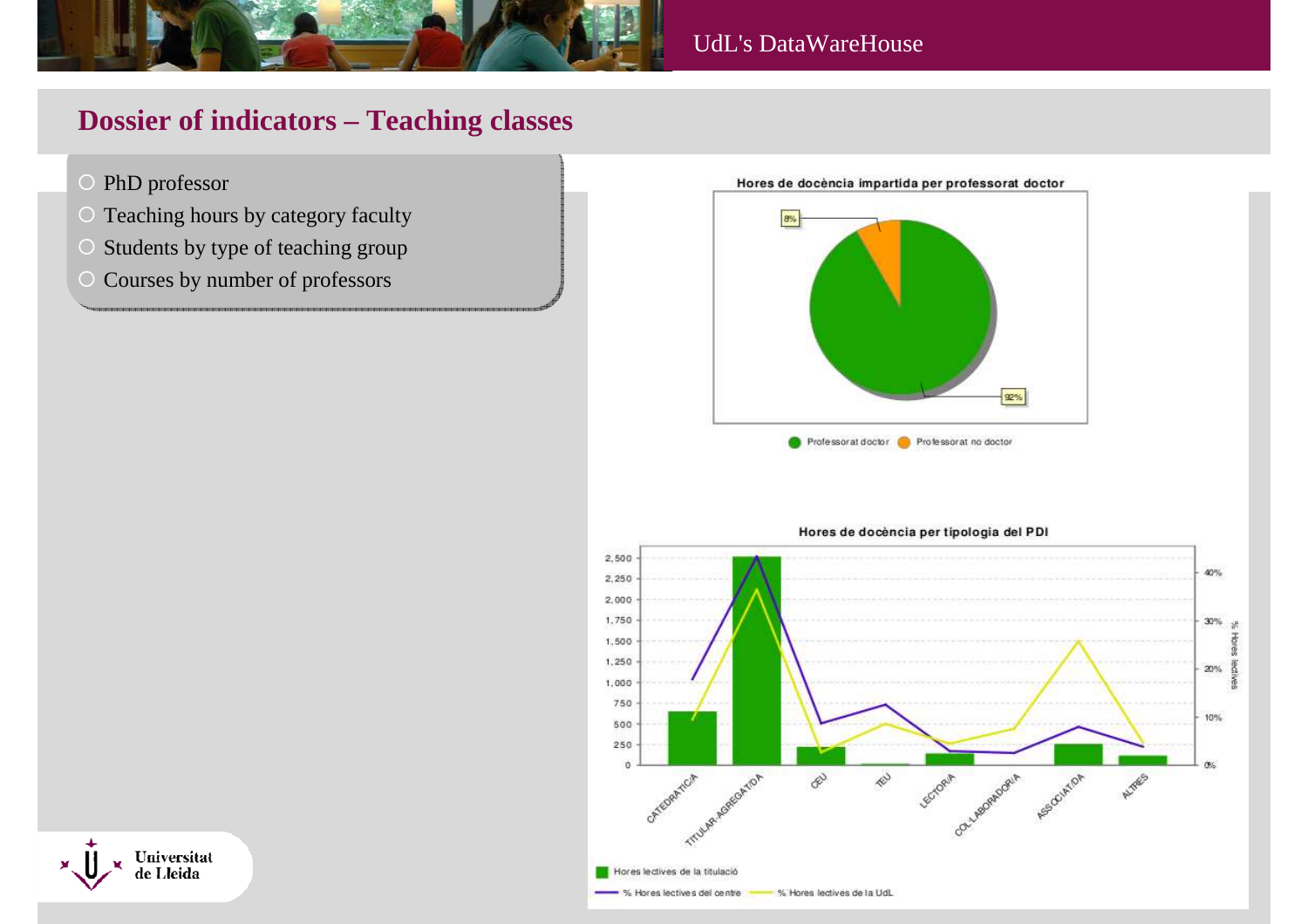

# **Dossier of indicators – Teaching classes**

- O PhD professor
- O Teaching hours by category faculty
- $\overline{C}$ Students by type of teaching group
- $\bigcirc$ Courses by number of professors





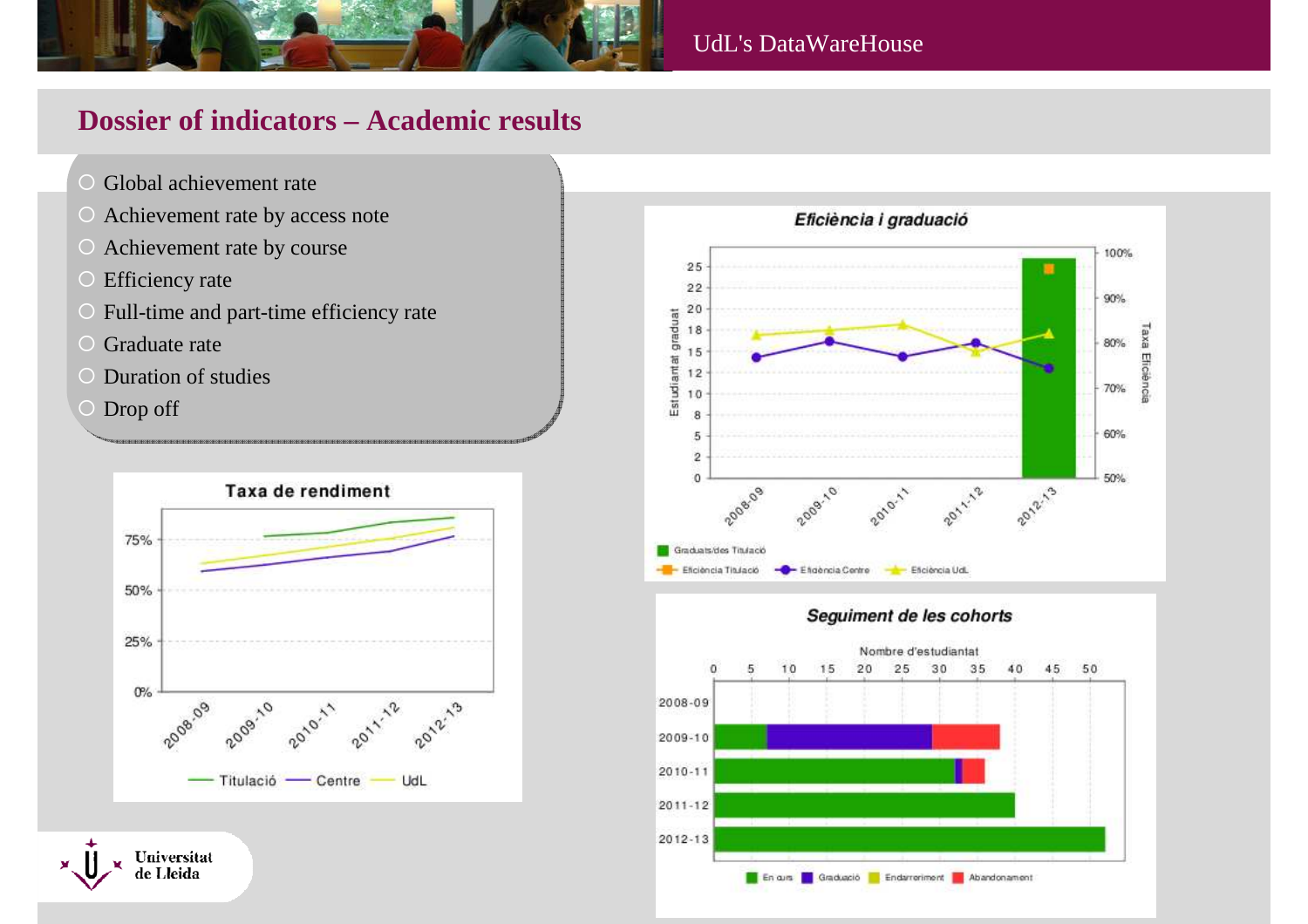

#### UdL's DataWareHouse

# **Dossier of indicators – Academic results**

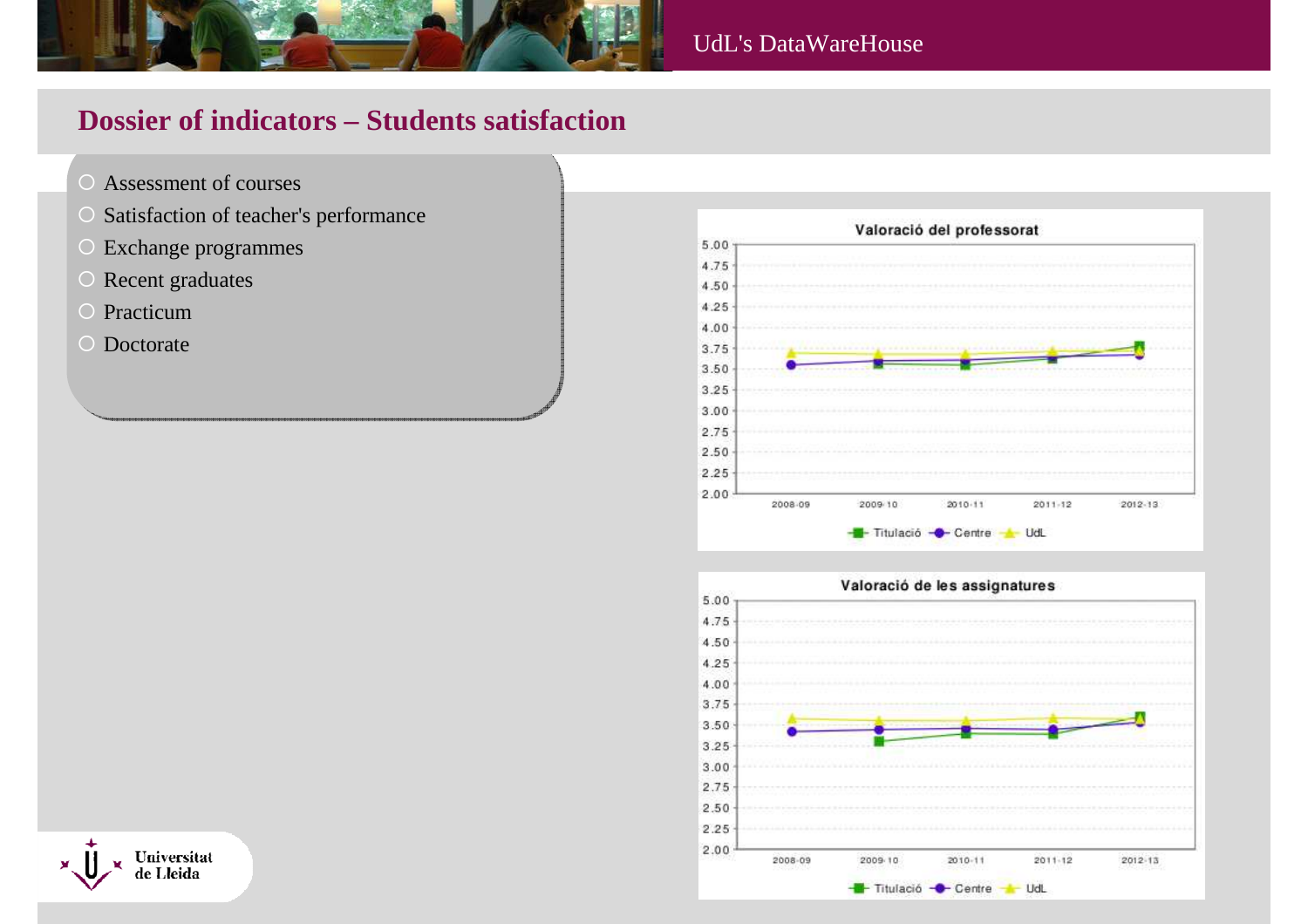

# **Dossier of indicators – Students satisfaction**

- Assessment of courses
- $\bigcirc$ Satisfaction of teacher's performance
- Exchange programmes
- $\bigcirc$ Recent graduates
- O Practicum
- O Doctorate





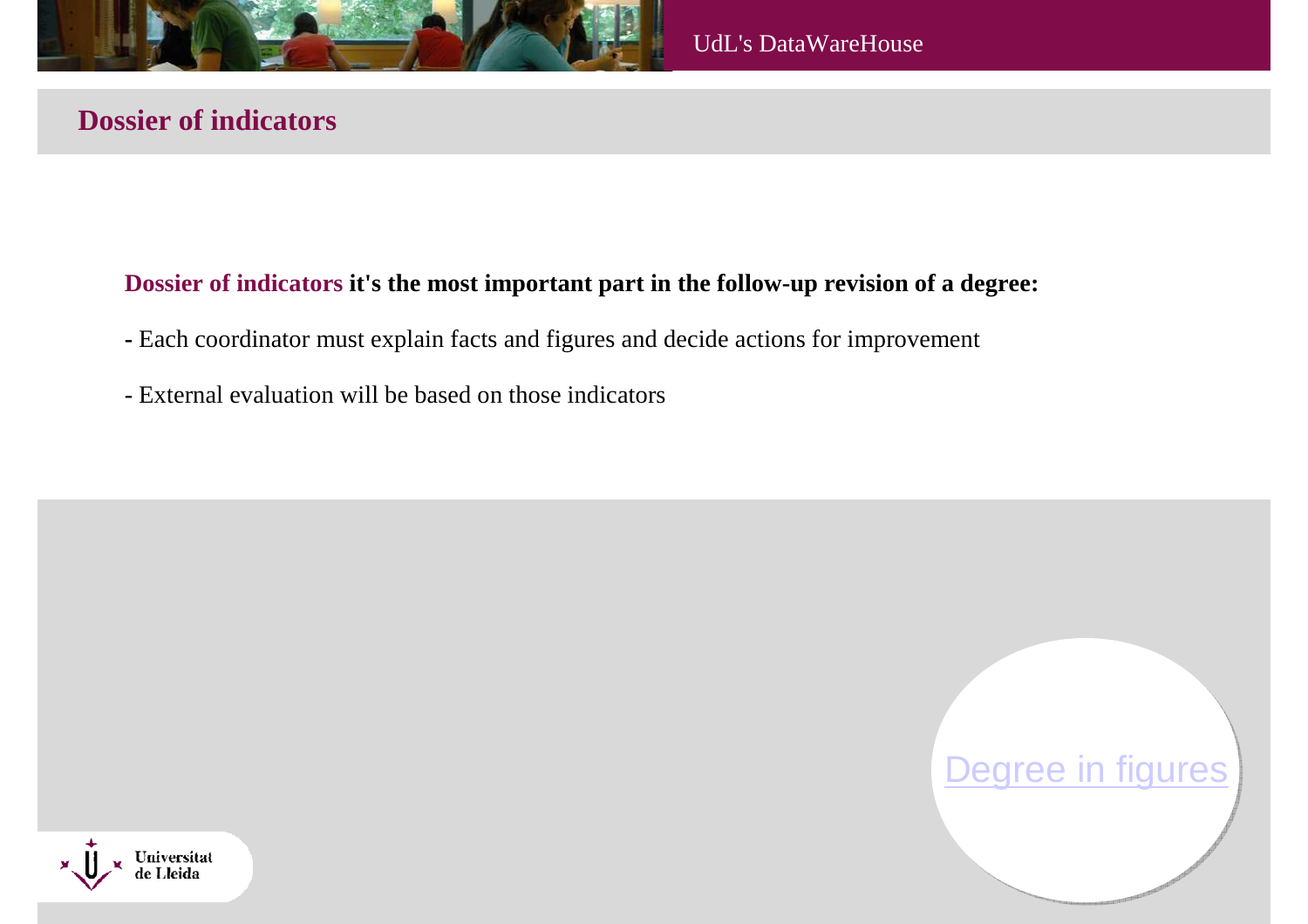

# **Dossier of indicators**

#### **Dossier of indicators it's the most important part in the follow-up revision of a degree:**

- **-** Each coordinator must explain facts and figures and decide actions for improvement
- External evaluation will be based on those indicators